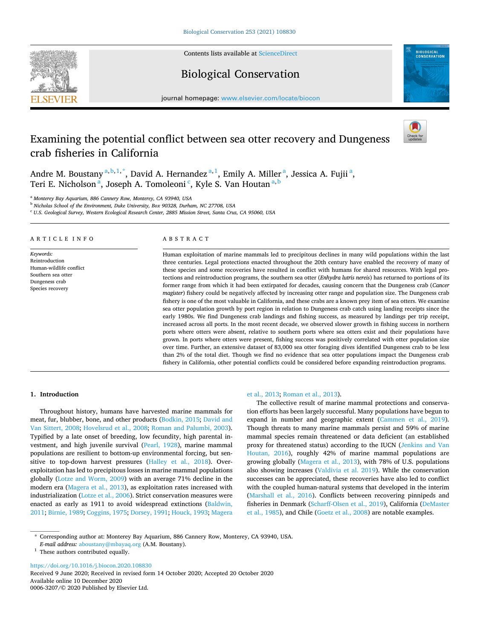**SEVIER** 



# Biological Conservation



journal homepage: [www.elsevier.com/locate/biocon](https://www.elsevier.com/locate/biocon)

# Examining the potential conflict between sea otter recovery and Dungeness crab fisheries in California

Andre M. Boustany <sup>a, b, 1,</sup> \*, David A. Hernandez <sup>a, 1</sup>, Emily A. Miller <sup>a</sup>, Jessica A. Fujii <sup>a</sup>, Teri E. Nicholson<sup>a</sup>, Joseph A. Tomoleoni<sup>c</sup>, Kyle S. Van Houtan<sup>a, b</sup>

<sup>a</sup> *Monterey Bay Aquarium, 886 Cannery Row, Monterey, CA 93940, USA* 

<sup>b</sup> *Nicholas School of the Environment, Duke University, Box 90328, Durham, NC 27708, USA* 

<sup>c</sup> *U.S. Geological Survey, Western Ecological Research Center, 2885 Mission Street, Santa Cruz, CA 95060, USA* 

| ARTICLE INFO |  |
|--------------|--|
|--------------|--|

*Keywords:*  Reintroduction Human-wildlife conflict Southern sea otter Dungeness crab Species recovery

## ABSTRACT

Human exploitation of marine mammals led to precipitous declines in many wild populations within the last three centuries. Legal protections enacted throughout the 20th century have enabled the recovery of many of these species and some recoveries have resulted in conflict with humans for shared resources. With legal protections and reintroduction programs, the southern sea otter (*Enhydra lutris nereis*) has returned to portions of its former range from which it had been extirpated for decades, causing concern that the Dungeness crab (*Cancer magister*) fishery could be negatively affected by increasing otter range and population size. The Dungeness crab fishery is one of the most valuable in California, and these crabs are a known prey item of sea otters. We examine sea otter population growth by port region in relation to Dungeness crab catch using landing receipts since the early 1980s. We find Dungeness crab landings and fishing success, as measured by landings per trip receipt, increased across all ports. In the most recent decade, we observed slower growth in fishing success in northern ports where otters were absent, relative to southern ports where sea otters exist and their populations have grown. In ports where otters were present, fishing success was positively correlated with otter population size over time. Further, an extensive dataset of 83,000 sea otter foraging dives identified Dungeness crab to be less than 2% of the total diet. Though we find no evidence that sea otter populations impact the Dungeness crab fishery in California, other potential conflicts could be considered before expanding reintroduction programs.

## **1. Introduction**

Throughout history, humans have harvested marine mammals for meat, fur, blubber, bone, and other products [\(Bodkin, 2015;](#page-6-0) [David and](#page-6-0)  [Van Sittert, 2008;](#page-6-0) [Hovelsrud et al., 2008](#page-6-0); [Roman and Palumbi, 2003](#page-7-0)). Typified by a late onset of breeding, low fecundity, high parental investment, and high juvenile survival [\(Pearl, 1928](#page-7-0)), marine mammal populations are resilient to bottom-up environmental forcing, but sensitive to top-down harvest pressures ([Halley et al., 2018\)](#page-6-0). Overexploitation has led to precipitous losses in marine mammal populations globally ([Lotze and Worm, 2009](#page-6-0)) with an average 71% decline in the modern era [\(Magera et al., 2013](#page-6-0)), as exploitation rates increased with industrialization ([Lotze et al., 2006](#page-6-0)). Strict conservation measures were enacted as early as 1911 to avoid widespread extinctions [\(Baldwin,](#page-6-0)  [2011; Birnie, 1989](#page-6-0); [Coggins, 1975; Dorsey, 1991; Houck, 1993](#page-6-0); [Magera](#page-6-0) 

## [et al., 2013;](#page-6-0) [Roman et al., 2013\)](#page-7-0).

The collective result of marine mammal protections and conservation efforts has been largely successful. Many populations have begun to expand in number and geographic extent ([Cammen et al., 2019](#page-6-0)). Though threats to many marine mammals persist and 59% of marine mammal species remain threatened or data deficient (an established proxy for threatened status) according to the IUCN ([Jenkins and Van](#page-6-0)  [Houtan, 2016](#page-6-0)), roughly 42% of marine mammal populations are growing globally ([Magera et al., 2013](#page-6-0)), with 78% of U.S. populations also showing increases [\(Valdivia et al. 2019](#page-7-0)). While the conservation successes can be appreciated, these recoveries have also led to conflict with the coupled human-natural systems that developed in the interim ([Marshall et al., 2016](#page-6-0)). Conflicts between recovering pinnipeds and fisheries in Denmark ([Scharff-Olsen et al., 2019](#page-7-0)), California [\(DeMaster](#page-6-0)  [et al., 1985\)](#page-6-0), and Chile ([Goetz et al., 2008](#page-6-0)) are notable examples.

<https://doi.org/10.1016/j.biocon.2020.108830>

Available online 10 December 2020 0006-3207/© 2020 Published by Elsevier Ltd. Received 9 June 2020; Received in revised form 14 October 2020; Accepted 20 October 2020

<sup>\*</sup> Corresponding author at: Monterey Bay Aquarium, 886 Cannery Row, Monterey, CA 93940, USA.

*E-mail address: [aboustany@mbayaq.org](mailto:aboustany@mbayaq.org) (A.M. Boustany).* <sup>1</sup> These authors contributed equally.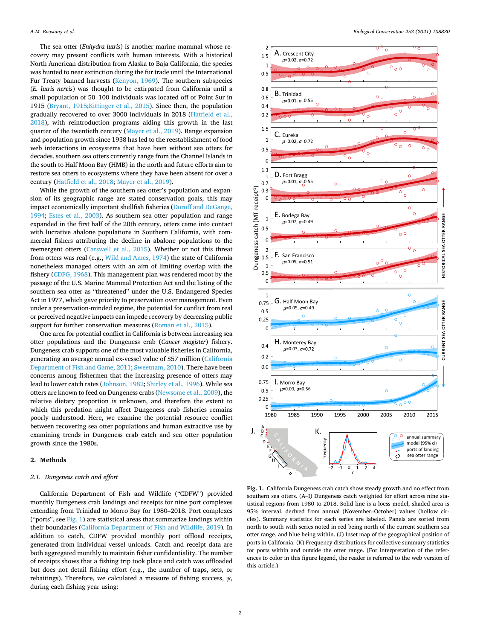<span id="page-1-0"></span>The sea otter (*Enhydra lutris*) is another marine mammal whose recovery may present conflicts with human interests. With a historical North American distribution from Alaska to Baja California, the species was hunted to near extinction during the fur trade until the International Fur Treaty banned harvests ([Kenyon, 1969\)](#page-6-0). The southern subspecies (*E. lutris nereis*) was thought to be extirpated from California until a small population of 50–100 individuals was located off of Point Sur in 1915 ([Bryant, 1915;Kittinger et al., 2015\)](#page-6-0). Since then, the population gradually recovered to over 3000 individuals in 2018 ([Hatfield et al.,](#page-6-0)  [2018\)](#page-6-0), with reintroduction programs aiding this growth in the last quarter of the twentieth century ([Mayer et al., 2019](#page-7-0)). Range expansion and population growth since 1938 has led to the reestablishment of food web interactions in ecosystems that have been without sea otters for decades. southern sea otters currently range from the Channel Islands in the south to Half Moon Bay (HMB) in the north and future efforts aim to restore sea otters to ecosystems where they have been absent for over a century ([Hatfield et al., 2018;](#page-6-0) [Mayer et al., 2019](#page-7-0)).

While the growth of the southern sea otter's population and expansion of its geographic range are stated conservation goals, this may impact economically important shellfish fisheries [\(Doroff and DeGange,](#page-6-0)  [1994;](#page-6-0) [Estes et al., 2003](#page-6-0)). As southern sea otter population and range expanded in the first half of the 20th century, otters came into contact with lucrative abalone populations in Southern California, with commercial fishers attributing the decline in abalone populations to the reemergent otters [\(Carswell et al., 2015](#page-6-0)). Whether or not this threat from otters was real (e.g., [Wild and Ames, 1974\)](#page-7-0) the state of California nonetheless managed otters with an aim of limiting overlap with the fishery ([CDFG, 1968](#page-6-0)). This management plan was rendered moot by the passage of the U.S. Marine Mammal Protection Act and the listing of the southern sea otter as "threatened" under the U.S. Endangered Species Act in 1977, which gave priority to preservation over management. Even under a preservation-minded regime, the potential for conflict from real or perceived negative impacts can impede recovery by decreasing public support for further conservation measures ([Roman et al., 2015](#page-7-0)).

One area for potential conflict in California is between increasing sea otter populations and the Dungeness crab (*Cancer magister*) fishery. Dungeness crab supports one of the most valuable fisheries in California, generating an average annual ex-vessel value of \$57 million ([California](#page-6-0)  [Department of Fish and Game, 2011;](#page-6-0) [Sweetnam, 2010\)](#page-7-0). There have been concerns among fishermen that the increasing presence of otters may lead to lower catch rates [\(Johnson, 1982](#page-6-0); [Shirley et al., 1996](#page-7-0)). While sea otters are known to feed on Dungeness crabs ([Newsome et al., 2009\)](#page-7-0), the relative dietary proportion is unknown, and therefore the extent to which this predation might affect Dungeness crab fisheries remains poorly understood. Here, we examine the potential resource conflict between recovering sea otter populations and human extractive use by examining trends in Dungeness crab catch and sea otter population growth since the 1980s.

#### **2. Methods**

#### *2.1. Dungeness catch and effort*

California Department of Fish and Wildlife ("CDFW") provided monthly Dungeness crab landings and receipts for nine port complexes extending from Trinidad to Morro Bay for 1980–2018. Port complexes ("ports", see  $Fig. 1$ ) are statistical areas that summarize landings within their boundaries ([California Department of Fish and Wildlife, 2019\)](#page-6-0). In addition to catch, CDFW provided monthly port offload receipts, generated from individual vessel unloads. Catch and receipt data are both aggregated monthly to maintain fisher confidentiality. The number of receipts shows that a fishing trip took place and catch was offloaded but does not detail fishing effort (e.g., the number of traps, sets, or rebaitings). Therefore, we calculated a measure of fishing success, *ψ*, during each fishing year using:



**Fig. 1.** California Dungeness crab catch show steady growth and no effect from southern sea otters. (A–I) Dungeness catch weighted for effort across nine statistical regions from 1980 to 2018. Solid line is a loess model, shaded area is 95% interval, derived from annual (November–October) values (hollow circles). Summary statistics for each series are labeled. Panels are sorted from north to south with series noted in red being north of the current southern sea otter range, and blue being within. (J) Inset map of the geographical position of ports in California. (K) Frequency distributions for collective summary statistics for ports within and outside the otter range. (For interpretation of the references to color in this figure legend, the reader is referred to the web version of this article.)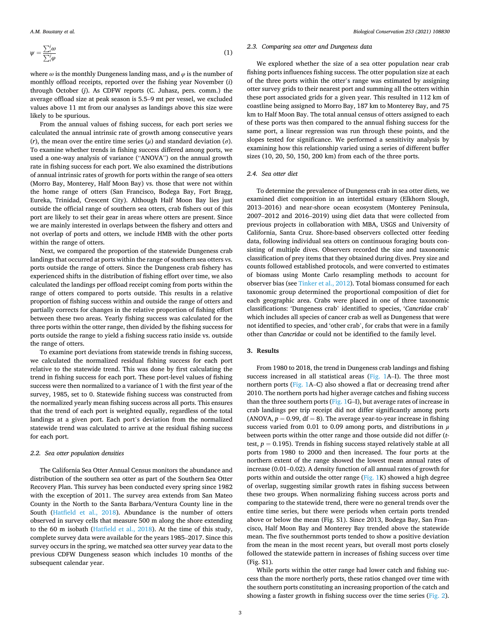$$
\psi = \frac{\sum_{i}^{j} \omega}{\sum_{i}^{j} \varphi}
$$
 (1)

where  $\omega$  is the monthly Dungeness landing mass, and  $\varphi$  is the number of monthly offload receipts, reported over the fishing year November (*i*) through October (*j*). As CDFW reports (C. Juhasz, pers. comm.) the average offload size at peak season is 5.5–9 mt per vessel, we excluded values above 11 mt from our analyses as landings above this size were likely to be spurious.

From the annual values of fishing success, for each port series we calculated the annual intrinsic rate of growth among consecutive years (*r*), the mean over the entire time series ( $\mu$ ) and standard deviation ( $\sigma$ ). To examine whether trends in fishing success differed among ports, we used a one-way analysis of variance ("ANOVA") on the annual growth rate in fishing success for each port. We also examined the distributions of annual intrinsic rates of growth for ports within the range of sea otters (Morro Bay, Monterey, Half Moon Bay) vs. those that were not within the home range of otters (San Francisco, Bodega Bay, Fort Bragg, Eureka, Trinidad, Crescent City). Although Half Moon Bay lies just outside the official range of southern sea otters, crab fishers out of this port are likely to set their gear in areas where otters are present. Since we are mainly interested in overlaps between the fishery and otters and not overlap of ports and otters, we include HMB with the other ports within the range of otters.

Next, we compared the proportion of the statewide Dungeness crab landings that occurred at ports within the range of southern sea otters vs. ports outside the range of otters. Since the Dungeness crab fishery has experienced shifts in the distribution of fishing effort over time, we also calculated the landings per offload receipt coming from ports within the range of otters compared to ports outside. This results in a relative proportion of fishing success within and outside the range of otters and partially corrects for changes in the relative proportion of fishing effort between these two areas. Yearly fishing success was calculated for the three ports within the otter range, then divided by the fishing success for ports outside the range to yield a fishing success ratio inside vs. outside the range of otters.

To examine port deviations from statewide trends in fishing success, we calculated the normalized residual fishing success for each port relative to the statewide trend. This was done by first calculating the trend in fishing success for each port. These port-level values of fishing success were then normalized to a variance of 1 with the first year of the survey, 1985, set to 0. Statewide fishing success was constructed from the normalized yearly mean fishing success across all ports. This ensures that the trend of each port is weighted equally, regardless of the total landings at a given port. Each port's deviation from the normalized statewide trend was calculated to arrive at the residual fishing success for each port.

#### *2.2. Sea otter population densities*

The California Sea Otter Annual Census monitors the abundance and distribution of the southern sea otter as part of the Southern Sea Otter Recovery Plan. This survey has been conducted every spring since 1982 with the exception of 2011. The survey area extends from San Mateo County in the North to the Santa Barbara/Ventura County line in the South ([Hatfield et al., 2018](#page-6-0)). Abundance is the number of otters observed in survey cells that measure 500 m along the shore extending to the 60 m isobath ([Hatfield et al., 2018\)](#page-6-0). At the time of this study, complete survey data were available for the years 1985–2017. Since this survey occurs in the spring, we matched sea otter survey year data to the previous CDFW Dungeness season which includes 10 months of the subsequent calendar year.

## *2.3. Comparing sea otter and Dungeness data*

We explored whether the size of a sea otter population near crab fishing ports influences fishing success. The otter population size at each of the three ports within the otter's range was estimated by assigning otter survey grids to their nearest port and summing all the otters within these port associated grids for a given year. This resulted in 112 km of coastline being assigned to Morro Bay, 187 km to Monterey Bay, and 75 km to Half Moon Bay. The total annual census of otters assigned to each of these ports was then compared to the annual fishing success for the same port, a linear regression was run through these points, and the slopes tested for significance. We performed a sensitivity analysis by examining how this relationship varied using a series of different buffer sizes (10, 20, 50, 150, 200 km) from each of the three ports.

#### *2.4. Sea otter diet*

To determine the prevalence of Dungeness crab in sea otter diets, we examined diet composition in an intertidal estuary (Elkhorn Slough, 2013–2016) and near-shore ocean ecosystem (Monterey Peninsula, 2007–2012 and 2016–2019) using diet data that were collected from previous projects in collaboration with MBA, USGS and University of California, Santa Cruz. Shore-based observers collected otter feeding data, following individual sea otters on continuous foraging bouts consisting of multiple dives. Observers recorded the size and taxonomic classification of prey items that they obtained during dives. Prey size and counts followed established protocols, and were converted to estimates of biomass using Monte Carlo resampling methods to account for observer bias (see [Tinker et al., 2012\)](#page-7-0). Total biomass consumed for each taxonomic group determined the proportional composition of diet for each geographic area. Crabs were placed in one of three taxonomic classifications: 'Dungeness crab' identified to species, '*Cancridae* crab' which includes all species of cancer crab as well as Dungeness that were not identified to species, and 'other crab', for crabs that were in a family other than *Cancridae* or could not be identified to the family level.

#### **3. Results**

From 1980 to 2018, the trend in Dungeness crab landings and fishing success increased in all statistical areas ([Fig. 1](#page-1-0)A–I). The three most northern ports [\(Fig. 1](#page-1-0)A–C) also showed a flat or decreasing trend after 2010. The northern ports had higher average catches and fishing success than the three southern ports [\(Fig. 1](#page-1-0)G–I), but average rates of increase in crab landings per trip receipt did not differ significantly among ports (ANOVA,  $p = 0.99$ ,  $df = 8$ ). The average year-to-year increase in fishing success varied from 0.01 to 0.09 among ports, and distributions in *μ*  between ports within the otter range and those outside did not differ (*t*test,  $p = 0.195$ ). Trends in fishing success stayed relatively stable at all ports from 1980 to 2000 and then increased. The four ports at the northern extent of the range showed the lowest mean annual rates of increase (0.01–0.02). A density function of all annual rates of growth for ports within and outside the otter range [\(Fig. 1](#page-1-0)K) showed a high degree of overlap, suggesting similar growth rates in fishing success between these two groups. When normalizing fishing success across ports and comparing to the statewide trend, there were no general trends over the entire time series, but there were periods when certain ports trended above or below the mean (Fig. S1). Since 2013, Bodega Bay, San Francisco, Half Moon Bay and Monterey Bay trended above the statewide mean. The five southernmost ports tended to show a positive deviation from the mean in the most recent years, but overall most ports closely followed the statewide pattern in increases of fishing success over time (Fig. S1).

While ports within the otter range had lower catch and fishing success than the more northerly ports, these ratios changed over time with the southern ports constituting an increasing proportion of the catch and showing a faster growth in fishing success over the time series [\(Fig. 2](#page-3-0)).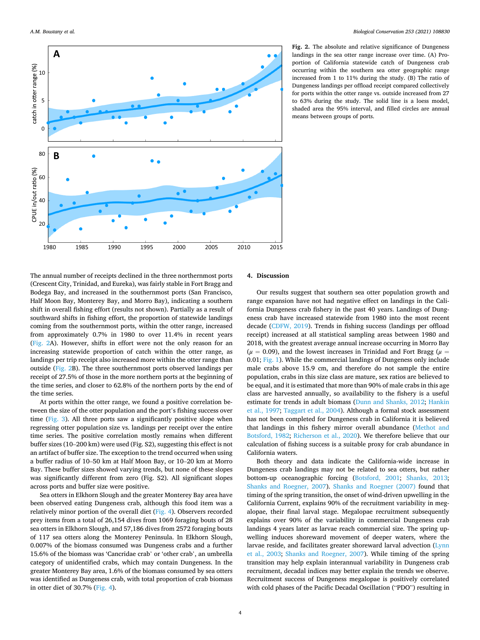<span id="page-3-0"></span>

**Fig. 2.** The absolute and relative significance of Dungeness landings in the sea otter range increase over time. (A) Proportion of California statewide catch of Dungeness crab occurring within the southern sea otter geographic range increased from 1 to 11% during the study. (B) The ratio of Dungeness landings per offload receipt compared collectively for ports within the otter range vs. outside increased from 27 to 63% during the study. The solid line is a loess model, shaded area the 95% interval, and filled circles are annual means between groups of ports.

The annual number of receipts declined in the three northernmost ports (Crescent City, Trinidad, and Eureka), was fairly stable in Fort Bragg and Bodega Bay, and increased in the southernmost ports (San Francisco, Half Moon Bay, Monterey Bay, and Morro Bay), indicating a southern shift in overall fishing effort (results not shown). Partially as a result of southward shifts in fishing effort, the proportion of statewide landings coming from the southernmost ports, within the otter range, increased from approximately 0.7% in 1980 to over 11.4% in recent years (Fig. 2A). However, shifts in effort were not the only reason for an increasing statewide proportion of catch within the otter range, as landings per trip receipt also increased more within the otter range than outside (Fig. 2B). The three southernmost ports observed landings per receipt of 27.5% of those in the more northern ports at the beginning of the time series, and closer to 62.8% of the northern ports by the end of the time series.

At ports within the otter range, we found a positive correlation between the size of the otter population and the port's fishing success over time ([Fig. 3\)](#page-4-0). All three ports saw a significantly positive slope when regressing otter population size vs. landings per receipt over the entire time series. The positive correlation mostly remains when different buffer sizes (10–200 km) were used (Fig. S2), suggesting this effect is not an artifact of buffer size. The exception to the trend occurred when using a buffer radius of 10–50 km at Half Moon Bay, or 10–20 km at Morro Bay. These buffer sizes showed varying trends, but none of these slopes was significantly different from zero (Fig. S2). All significant slopes across ports and buffer size were positive.

Sea otters in Elkhorn Slough and the greater Monterey Bay area have been observed eating Dungeness crab, although this food item was a relatively minor portion of the overall diet ([Fig. 4\)](#page-4-0). Observers recorded prey items from a total of 26,154 dives from 1069 foraging bouts of 28 sea otters in Elkhorn Slough, and 57,186 dives from 2572 foraging bouts of 117 sea otters along the Monterey Peninsula. In Elkhorn Slough, 0.007% of the biomass consumed was Dungeness crabs and a further 15.6% of the biomass was 'Cancridae crab' or 'other crab', an umbrella category of unidentified crabs, which may contain Dungeness. In the greater Monterey Bay area, 1.6% of the biomass consumed by sea otters was identified as Dungeness crab, with total proportion of crab biomass in otter diet of 30.7% [\(Fig. 4](#page-4-0)).

## **4. Discussion**

Our results suggest that southern sea otter population growth and range expansion have not had negative effect on landings in the California Dungeness crab fishery in the past 40 years. Landings of Dungeness crab have increased statewide from 1980 into the most recent decade [\(CDFW, 2019\)](#page-6-0). Trends in fishing success (landings per offload receipt) increased at all statistical sampling areas between 1980 and 2018, with the greatest average annual increase occurring in Morro Bay  $(\mu = 0.09)$ , and the lowest increases in Trinidad and Fort Bragg ( $\mu =$ 0.01; [Fig. 1\)](#page-1-0). While the commercial landings of Dungeness only include male crabs above 15.9 cm, and therefore do not sample the entire population, crabs in this size class are mature, sex ratios are believed to be equal, and it is estimated that more than 90% of male crabs in this age class are harvested annually, so availability to the fishery is a useful estimate for trends in adult biomass [\(Dunn and Shanks, 2012;](#page-6-0) [Hankin](#page-6-0)  [et al., 1997](#page-6-0); [Taggart et al., 2004\)](#page-7-0). Although a formal stock assessment has not been completed for Dungeness crab in California it is believed that landings in this fishery mirror overall abundance [\(Methot and](#page-7-0)  [Botsford, 1982](#page-7-0); [Richerson et al., 2020](#page-7-0)). We therefore believe that our calculation of fishing success is a suitable proxy for crab abundance in California waters.

Both theory and data indicate the California-wide increase in Dungeness crab landings may not be related to sea otters, but rather bottom-up oceanographic forcing ([Botsford, 2001](#page-6-0); [Shanks, 2013](#page-7-0); [Shanks and Roegner, 2007\)](#page-7-0). [Shanks and Roegner \(2007\)](#page-7-0) found that timing of the spring transition, the onset of wind-driven upwelling in the California Current, explains 90% of the recruitment variability in megalopae, their final larval stage. Megalopae recruitment subsequently explains over 90% of the variability in commercial Dungeness crab landings 4 years later as larvae reach commercial size. The spring upwelling induces shoreward movement of deeper waters, where the larvae reside, and facilitates greater shoreward larval advection [\(Lynn](#page-6-0)  [et al., 2003;](#page-6-0) [Shanks and Roegner, 2007\)](#page-7-0). While timing of the spring transition may help explain interannual variability in Dungeness crab recruitment, decadal indices may better explain the trends we observe. Recruitment success of Dungeness megalopae is positively correlated with cold phases of the Pacific Decadal Oscillation ("PDO") resulting in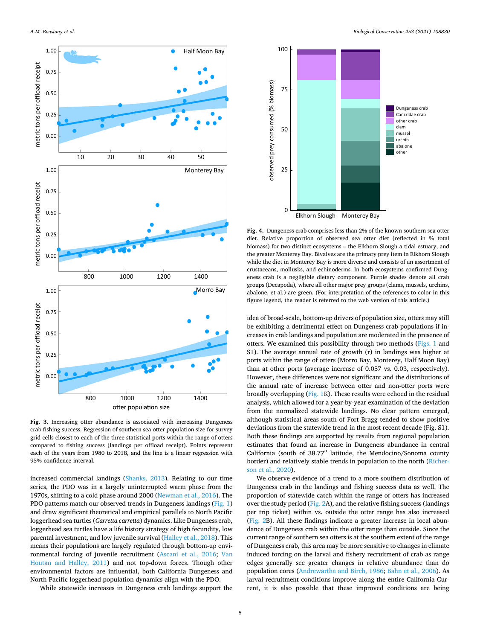<span id="page-4-0"></span>

Fig. 3. Increasing otter abundance is associated with increasing Dungeness crab fishing success. Regression of southern sea otter population size for survey grid cells closest to each of the three statistical ports within the range of otters compared to fishing success (landings per offload receipt). Points represent each of the years from 1980 to 2018, and the line is a linear regression with 95% confidence interval.

increased commercial landings ([Shanks, 2013](#page-7-0)). Relating to our time series, the PDO was in a largely uninterrupted warm phase from the 1970s, shifting to a cold phase around 2000 ([Newman et al., 2016](#page-7-0)). The PDO patterns match our observed trends in Dungeness landings ([Fig. 1\)](#page-1-0) and draw significant theoretical and empirical parallels to North Pacific loggerhead sea turtles (*Carretta carretta*) dynamics. Like Dungeness crab, loggerhead sea turtles have a life history strategy of high fecundity, low parental investment, and low juvenile survival [\(Halley et al., 2018\)](#page-6-0). This means their populations are largely regulated through bottom-up environmental forcing of juvenile recruitment [\(Ascani et al., 2016;](#page-6-0) [Van](#page-7-0)  [Houtan and Halley, 2011\)](#page-7-0) and not top-down forces. Though other environmental factors are influential, both California Dungeness and North Pacific loggerhead population dynamics align with the PDO.

While statewide increases in Dungeness crab landings support the



**Fig. 4.** Dungeness crab comprises less than 2% of the known southern sea otter diet. Relative proportion of observed sea otter diet (reflected in % total biomass) for two distinct ecosystems – the Elkhorn Slough a tidal estuary, and the greater Monterey Bay. Bivalves are the primary prey item in Elkhorn Slough while the diet in Monterey Bay is more diverse and consists of an assortment of crustaceans, mollusks, and echinoderms. In both ecosystems confirmed Dungeness crab is a negligible dietary component. Purple shades denote all crab groups (Decapoda), where all other major prey groups (clams, mussels, urchins, abalone, et al.) are green. (For interpretation of the references to color in this figure legend, the reader is referred to the web version of this article.)

idea of broad-scale, bottom-up drivers of population size, otters may still be exhibiting a detrimental effect on Dungeness crab populations if increases in crab landings and population are moderated in the presence of otters. We examined this possibility through two methods ([Figs. 1](#page-1-0) and S1). The average annual rate of growth (r) in landings was higher at ports within the range of otters (Morro Bay, Monterey, Half Moon Bay) than at other ports (average increase of 0.057 vs. 0.03, respectively). However, these differences were not significant and the distributions of the annual rate of increase between otter and non-otter ports were broadly overlapping ([Fig. 1](#page-1-0)K). These results were echoed in the residual analysis, which allowed for a year-by-year examination of the deviation from the normalized statewide landings. No clear pattern emerged, although statistical areas south of Fort Bragg tended to show positive deviations from the statewide trend in the most recent decade (Fig. S1). Both these findings are supported by results from regional population estimates that found an increase in Dungeness abundance in central California (south of 38.77° latitude, the Mendocino/Sonoma county border) and relatively stable trends in population to the north [\(Richer](#page-7-0)[son et al., 2020](#page-7-0)).

We observe evidence of a trend to a more southern distribution of Dungeness crab in the landings and fishing success data as well. The proportion of statewide catch within the range of otters has increased over the study period ([Fig. 2](#page-3-0)A), and the relative fishing success (landings per trip ticket) within vs. outside the otter range has also increased ([Fig. 2](#page-3-0)B). All these findings indicate a greater increase in local abundance of Dungeness crab within the otter range than outside. Since the current range of southern sea otters is at the southern extent of the range of Dungeness crab, this area may be more sensitive to changes in climate induced forcing on the larval and fishery recruitment of crab as range edges generally see greater changes in relative abundance than do population cores ([Andrewartha and Birch, 1986](#page-6-0); [Bahn et al., 2006](#page-6-0)). As larval recruitment conditions improve along the entire California Current, it is also possible that these improved conditions are being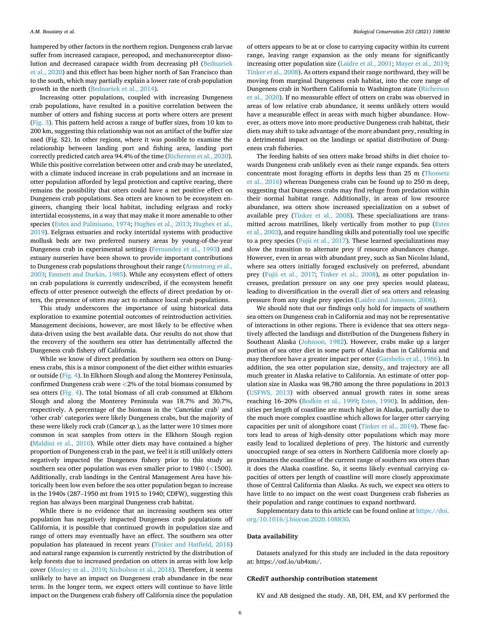hampered by other factors in the northern region. Dungeness crab larvae suffer from increased carapace, pereopod, and mechanoreceptor disso-lution and decreased carapace width from decreasing pH [\(Bednar](#page-6-0)šek [et al., 2020](#page-6-0)) and this effect has been higher north of San Francisco than to the south, which may partially explain a lower rate of crab population growth in the north (Bednaršek et al., 2014).

Increasing otter populations, coupled with increasing Dungeness crab populations, have resulted in a positive correlation between the number of otters and fishing success at ports where otters are present ([Fig. 3\)](#page-4-0). This pattern held across a range of buffer sizes, from 10 km to 200 km, suggesting this relationship was not an artifact of the buffer size used (Fig. S2). In other regions, where it was possible to examine the relationship between landing port and fishing area, landing port correctly predicted catch area 94.4% of the time [\(Richerson et al., 2020](#page-7-0)). While this positive correlation between otter and crab may be unrelated, with a climate induced increase in crab populations and an increase in otter population afforded by legal protection and captive rearing, there remains the possibility that otters could have a net positive effect on Dungeness crab populations. Sea otters are known to be ecosystem engineers, changing their local habitat, including eelgrass and rocky intertidal ecosystems, in a way that may make it more amenable to other species ([Estes and Palmisano, 1974](#page-6-0); [Hughes et al., 2013; Hughes et al.,](#page-6-0)  [2019\)](#page-6-0). Eelgrass estuaries and rocky intertidal systems with productive mollusk beds are two preferred nursery areas by young-of-the-year Dungeness crab in experimental settings ([Fernandez et al., 1993\)](#page-6-0) and estuary nurseries have been shown to provide important contributions to Dungeness crab populations throughout their range [\(Armstrong et al.,](#page-6-0)  [2003; Emmett and Durkin, 1985\)](#page-6-0). While any ecosystem effect of otters on crab populations is currently undescribed, if the ecosystem benefit effects of otter presence outweigh the effects of direct predation by otters, the presence of otters may act to enhance local crab populations.

This study underscores the importance of using historical data exploration to examine potential outcomes of reintroduction activities. Management decisions, however, are most likely to be effective when data-driven using the best available data. Our results do not show that the recovery of the southern sea otter has detrimentally affected the Dungeness crab fishery off California.

While we know of direct predation by southern sea otters on Dungeness crabs, this is a minor component of the diet either within estuaries or outside [\(Fig. 4\)](#page-4-0). In Elkhorn Slough and along the Monterey Peninsula, confirmed Dungeness crab were *<*2% of the total biomass consumed by sea otters ([Fig. 4](#page-4-0)). The total biomass of all crab consumed at Elkhorn Slough and along the Monterey Peninsula was 18.7% and 30.7%, respectively. A percentage of the biomass in the '*Cancridae* crab' and 'other crab' categories were likely Dungeness crabs, but the majority of these were likely rock crab (*Cancer sp.*), as the latter were 10 times more common in scat samples from otters in the Elkhorn Slough region ([Maldini et al., 2010](#page-6-0)). While otter diets may have contained a higher proportion of Dungeness crab in the past, we feel it is still unlikely otters negatively impacted the Dungeness fishery prior to this study as southern sea otter population was even smaller prior to 1980 (*<*1500). Additionally, crab landings in the Central Management Area have historically been low even before the sea otter population began to increase in the 1940s (287–1950 mt from 1915 to 1940; CDFW), suggesting this region has always been marginal Dungeness crab habitat.

While there is no evidence that an increasing southern sea otter population has negatively impacted Dungeness crab populations off California, it is possible that continued growth in population size and range of otters may eventually have an effect. The southern sea otter population has plateaued in recent years [\(Tinker and Hatfield, 2018\)](#page-7-0) and natural range expansion is currently restricted by the distribution of kelp forests due to increased predation on otters in areas with low kelp cover [\(Moxley et al., 2019;](#page-7-0) [Nicholson et al., 2018\)](#page-7-0). Therefore, it seems unlikely to have an impact on Dungeness crab abundance in the near term. In the longer term, we expect otters will continue to have little impact on the Dungeness crab fishery off California since the population

of otters appears to be at or close to carrying capacity within its current range, leaving range expansion as the only means for significantly increasing otter population size [\(Laidre et al., 2001;](#page-6-0) [Mayer et al., 2019](#page-7-0); [Tinker et al., 2008](#page-7-0)). As otters expand their range northward, they will be moving from marginal Dungeness crab habitat, into the core range of Dungeness crab in Northern California to Washington state ([Richerson](#page-7-0)  [et al., 2020\)](#page-7-0). If no measurable effect of otters on crabs was observed in areas of low relative crab abundance, it seems unlikely otters would have a measurable effect in areas with much higher abundance. However, as otters move into more productive Dungeness crab habitat, their diets may shift to take advantage of the more abundant prey, resulting in a detrimental impact on the landings or spatial distribution of Dungeness crab fisheries.

The feeding habits of sea otters make broad shifts in diet choice towards Dungeness crab unlikely even as their range expands. Sea otters concentrate most foraging efforts in depths less than 25 m ([Thometz](#page-7-0)  [et al., 2016\)](#page-7-0) whereas Dungeness crabs can be found up to 250 m deep, suggesting that Dungeness crabs may find refuge from predation within their normal habitat range. Additionally, in areas of low resource abundance, sea otters show increased specialization on a subset of available prey ([Tinker et al., 2008](#page-7-0)). These specializations are transmitted across matrilines, likely vertically from mother to pup [\(Estes](#page-6-0)  [et al., 2003\)](#page-6-0), and require handling skills and potentially tool use specific to a prey species ([Fujii et al., 2017\)](#page-6-0). These learned specializations may slow the transition to alternate prey if resource abundances change. However, even in areas with abundant prey, such as San Nicolas Island, where sea otters initially foraged exclusively on preferred, abundant prey ([Fujii et al., 2017](#page-6-0); [Tinker et al., 2008](#page-7-0)), as otter population increases, predation pressure on any one prey species would plateau, leading to diversification in the overall diet of sea otters and releasing pressure from any single prey species ([Laidre and Jameson, 2006](#page-6-0)).

We should note that our findings only hold for impacts of southern sea otters on Dungeness crab in California and may not be representative of interactions in other regions. There is evidence that sea otters negatively affected the landings and distribution of the Dungeness fishery in Southeast Alaska ([Johnson, 1982\)](#page-6-0). However, crabs make up a larger portion of sea otter diet in some parts of Alaska than in California and may therefore have a greater impact per otter [\(Garshelis et al., 1986](#page-6-0)). In addition, the sea otter population size, density, and trajectory are all much greater in Alaska relative to California. An estimate of otter population size in Alaska was 98,780 among the three populations in 2013 ([USFWS, 2013](#page-7-0)) with observed annual growth rates in some areas reaching 16–20% ([Bodkin et al., 1999;](#page-6-0) [Estes, 1990](#page-6-0)). In addition, densities per length of coastline are much higher in Alaska, partially due to the much more complex coastline which allows for larger otter carrying capacities per unit of alongshore coast [\(Tinker et al., 2019](#page-7-0)). These factors lead to areas of high-density otter populations which may more easily lead to localized depletions of prey. The historic and currently unoccupied range of sea otters in Northern California more closely approximates the coastline of the current range of southern sea otters than it does the Alaska coastline. So, it seems likely eventual carrying capacities of otters per length of coastline will more closely approximate those of Central California than Alaska. As such, we expect sea otters to have little to no impact on the west coast Dungeness crab fisheries as their population and range continues to expand northward.

Supplementary data to this article can be found online at [https://doi.](https://doi.org/10.1016/j.biocon.2020.108830)  [org/10.1016/j.biocon.2020.108830.](https://doi.org/10.1016/j.biocon.2020.108830)

## **Data availability**

Datasets analyzed for this study are included in the data repository at: https://osf.io/ub4xm/.

## **CRediT authorship contribution statement**

KV and AB designed the study. AB, DH, EM, and KV performed the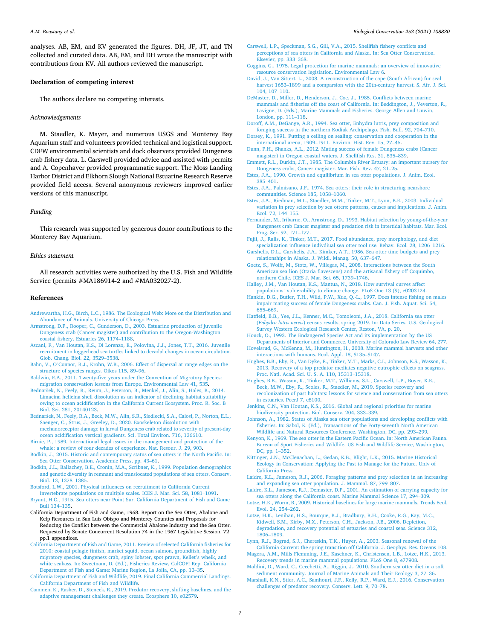<span id="page-6-0"></span>analyses. AB, EM, and KV generated the figures. DH, JF, JT, and TN collected and curated data. AB, EM, and DH wrote the manuscript with contributions from KV. All authors reviewed the manuscript.

#### **Declaration of competing interest**

The authors declare no competing interests.

### *Acknowledgements*

M. Staedler, K. Mayer, and numerous USGS and Monterey Bay Aquarium staff and volunteers provided technical and logistical support. CDFW environmental scientists and dock observers provided Dungeness crab fishery data. L. Carswell provided advice and assisted with permits and A. Copenhaver provided programmatic support. The Moss Landing Harbor District and Elkhorn Slough National Estuarine Research Reserve provided field access. Several anonymous reviewers improved earlier versions of this manuscript.

## *Funding*

This research was supported by generous donor contributions to the Monterey Bay Aquarium.

#### *Ethics statement*

All research activities were authorized by the U.S. Fish and Wildlife Service (permits #MA186914-2 and #MA032027-2).

## **References**

- [Andrewartha, H.G., Birch, L.C., 1986. The Ecological Web: More on the Distribution and](http://refhub.elsevier.com/S0006-3207(20)30888-0/rf0005)  [Abundance of Animals. University of Chicago Press.](http://refhub.elsevier.com/S0006-3207(20)30888-0/rf0005)
- [Armstrong, D.P., Rooper, C., Gunderson, D., 2003. Estuarine production of juvenile](http://refhub.elsevier.com/S0006-3207(20)30888-0/rf0010) [Dungeness crab \(Cancer magister\) and contribution to the Oregon-Washington](http://refhub.elsevier.com/S0006-3207(20)30888-0/rf0010)  [coastal fishery. Estuaries 26, 1174](http://refhub.elsevier.com/S0006-3207(20)30888-0/rf0010)–1188.
- [Ascani, F., Van Houtan, K.S., Di Lorenzo, E., Polovina, J.J., Jones, T.T., 2016. Juvenile](http://refhub.elsevier.com/S0006-3207(20)30888-0/rf0015)  [recruitment in loggerhead sea turtles linked to decadal changes in ocean circulation.](http://refhub.elsevier.com/S0006-3207(20)30888-0/rf0015)  [Glob. Chang. Biol. 22, 3529](http://refhub.elsevier.com/S0006-3207(20)30888-0/rf0015)–3538.
- Bahn, V., O'[Connor, R.J., Krohn, W.B., 2006. Effect of dispersal at range edges on the](http://refhub.elsevier.com/S0006-3207(20)30888-0/rf0020) [structure of species ranges. Oikos 115, 89](http://refhub.elsevier.com/S0006-3207(20)30888-0/rf0020)–96.
- [Baldwin, E.A., 2011. Twenty-five years under the Convention of Migratory Species:](http://refhub.elsevier.com/S0006-3207(20)30888-0/rf0025)  [migration conservation lessons from Europe. Environmental Law 41, 535](http://refhub.elsevier.com/S0006-3207(20)30888-0/rf0025).
- Bednaršek, N., Feely, R., Reum, J., Peterson, B., Menkel, J., Alin, S., Hales, B., 2014. [Limacina helicina shell dissolution as an indicator of declining habitat suitability](http://refhub.elsevier.com/S0006-3207(20)30888-0/rf0030)  [owing to ocean acidification in the California Current Ecosystem. Proc. R. Soc. B](http://refhub.elsevier.com/S0006-3207(20)30888-0/rf0030) [Biol. Sci. 281, 20140123](http://refhub.elsevier.com/S0006-3207(20)30888-0/rf0030).
- Bednaršek, N., Feely, R.A., Beck, M.W., Alin, S.R., Siedlecki, S.A., Calosi, P., Norton, E.L., Saenger, C., Štrus, J., Greeley, D., 2020. Exoskeleton dissolution with [mechanoreceptor damage in larval Dungeness crab related to severity of present-day](http://refhub.elsevier.com/S0006-3207(20)30888-0/rf0035)  [ocean acidification vertical gradients. Sci. Total Environ. 716, 136610.](http://refhub.elsevier.com/S0006-3207(20)30888-0/rf0035)
- [Birnie, P., 1989. International legal issues in the management and protection of the](http://refhub.elsevier.com/S0006-3207(20)30888-0/rf0040) [whale: a review of four decades of experience. Nat. Resour. J. 29, 903.](http://refhub.elsevier.com/S0006-3207(20)30888-0/rf0040)
- [Bodkin, J., 2015. Historic and contemporary status of sea otters in the North Pacific. In:](http://refhub.elsevier.com/S0006-3207(20)30888-0/rf0045)  [Sea Otter Conservation. Academic Press, pp. 43](http://refhub.elsevier.com/S0006-3207(20)30888-0/rf0045)–61.
- [Bodkin, J.L., Ballachey, B.E., Cronin, M.A., Scribner, K., 1999. Population demographics](http://refhub.elsevier.com/S0006-3207(20)30888-0/rf0050)  [and genetic diversity in remnant and translocated populations of sea otters. Conserv.](http://refhub.elsevier.com/S0006-3207(20)30888-0/rf0050)  [Biol. 13, 1378](http://refhub.elsevier.com/S0006-3207(20)30888-0/rf0050)–1385.
- [Botsford, L.W., 2001. Physical influences on recruitment to California Current](http://refhub.elsevier.com/S0006-3207(20)30888-0/rf0055) [invertebrate populations on multiple scales. ICES J. Mar. Sci. 58, 1081](http://refhub.elsevier.com/S0006-3207(20)30888-0/rf0055)–1091.

[Bryant, H.C., 1915. Sea otters near Point Sur. California Department of Fish and Game](http://refhub.elsevier.com/S0006-3207(20)30888-0/optuzjf4CmcCE) [Bull 134](http://refhub.elsevier.com/S0006-3207(20)30888-0/optuzjf4CmcCE)–135.

- California Department of Fish and Game, 1968. Report on the Sea Otter, Abalone and Kelp Resources in San Luis Obispo and Monterey Counties and Proposals for Reducing the Conflict between the Commercial Abalone Industry and the Sea Otter. Requested by Senate Concurrent Resolution 74 in the 1967 Legislative Session. 72 pp.1 appendices.
- [California Department of Fish and Game, 2011. Review of selected California fisheries for](http://refhub.elsevier.com/S0006-3207(20)30888-0/rf0135)  [2010: coastal pelagic finfish, market squid, ocean salmon, groundfish, highly](http://refhub.elsevier.com/S0006-3207(20)30888-0/rf0135) [migratory species, dungeness crab, spiny lobster, spot prawn, Kellet](http://refhub.elsevier.com/S0006-3207(20)30888-0/rf0135)'s whelk, and [white seabass. In: Sweetnam, D. \(Ed.\), Fisheries Review, CalCOFI Rep. California](http://refhub.elsevier.com/S0006-3207(20)30888-0/rf0135)  [Department of Fish and Game: Marine Region, La Jolla, CA, pp. 13](http://refhub.elsevier.com/S0006-3207(20)30888-0/rf0135)–35.
- [California Department of Fish and Wildlife, 2019. Final California Commercial Landings.](http://refhub.elsevier.com/S0006-3207(20)30888-0/rf0070)  [California Department of Fish and Wildlife](http://refhub.elsevier.com/S0006-3207(20)30888-0/rf0070).
- [Cammen, K., Rasher, D., Steneck, R., 2019. Predator recovery, shifting baselines, and the](http://refhub.elsevier.com/S0006-3207(20)30888-0/rf0060)  [adaptive management challenges they create. Ecosphere 10, e02579](http://refhub.elsevier.com/S0006-3207(20)30888-0/rf0060).
- [Carswell, L.P., Speckman, S.G., Gill, V.A., 2015. Shellfish fishery conflicts and](http://refhub.elsevier.com/S0006-3207(20)30888-0/rf0065) [perceptions of sea otters in California and Alaska. In: Sea Otter Conservation.](http://refhub.elsevier.com/S0006-3207(20)30888-0/rf0065)  [Elsevier, pp. 333](http://refhub.elsevier.com/S0006-3207(20)30888-0/rf0065)–368.
- [Coggins, G., 1975. Legal protection for marine mammals: an overview of innovative](http://refhub.elsevier.com/S0006-3207(20)30888-0/rf0075) [resource conservation legislation. Environmental Law 6.](http://refhub.elsevier.com/S0006-3207(20)30888-0/rf0075)
- [David, J., Van Sittert, L., 2008. A reconstruction of the cape \(South African\) fur seal](http://refhub.elsevier.com/S0006-3207(20)30888-0/rf0080)  harvest 1653–[1899 and a comparsion with the 20th-century harvest. S. Afr. J. Sci.](http://refhub.elsevier.com/S0006-3207(20)30888-0/rf0080) [104, 107](http://refhub.elsevier.com/S0006-3207(20)30888-0/rf0080)–110.
- [DeMaster, D., Miller, D., Henderson, J., Coe, J., 1985. Conflicts between marine](http://refhub.elsevier.com/S0006-3207(20)30888-0/rf0085) [mammals and fisheries off the coast of California. In: Beddington, J., Veverton, R.,](http://refhub.elsevier.com/S0006-3207(20)30888-0/rf0085)  [Lavigne, D. \(Eds.\), Marine Mammals and Fisheries. George Allen and Unwin,](http://refhub.elsevier.com/S0006-3207(20)30888-0/rf0085) [London, pp. 111](http://refhub.elsevier.com/S0006-3207(20)30888-0/rf0085)–118.
- [Doroff, A.M., DeGange, A.R., 1994. Sea otter, Enhydra lutris, prey composition and](http://refhub.elsevier.com/S0006-3207(20)30888-0/rf0090)  [foraging success in the northern Kodiak Archipelago. Fish. Bull. 92, 704](http://refhub.elsevier.com/S0006-3207(20)30888-0/rf0090)–710.
- [Dorsey, K., 1991. Putting a ceiling on sealing: conservation and cooperation in the](http://refhub.elsevier.com/S0006-3207(20)30888-0/rf0095)  international arena, 1909–[1911. Environ. Hist. Rev. 15, 27](http://refhub.elsevier.com/S0006-3207(20)30888-0/rf0095)–45.
- [Dunn, P.H., Shanks, A.L., 2012. Mating success of female Dungeness crabs \(Cancer](http://refhub.elsevier.com/S0006-3207(20)30888-0/rf0100)  [magister\) in Oregon coastal waters. J. Shellfish Res. 31, 835](http://refhub.elsevier.com/S0006-3207(20)30888-0/rf0100)–839.
- [Emmett, R.L., Durkin, J.T., 1985. The Columbia River Estuary: an important nursery for](http://refhub.elsevier.com/S0006-3207(20)30888-0/rf0105)  [Dungeness crabs, Cancer magister. Mar. Fish. Rev. 47, 21](http://refhub.elsevier.com/S0006-3207(20)30888-0/rf0105)–25.
- [Estes, J.A., 1990. Growth and equilibrium in sea otter populations. J. Anim. Ecol.](http://refhub.elsevier.com/S0006-3207(20)30888-0/rf0110) 385–[401](http://refhub.elsevier.com/S0006-3207(20)30888-0/rf0110).
- [Estes, J.A., Palmisano, J.F., 1974. Sea otters: their role in structuring nearshore](http://refhub.elsevier.com/S0006-3207(20)30888-0/rf0115)  [communities. Science 185, 1058](http://refhub.elsevier.com/S0006-3207(20)30888-0/rf0115)–1060.
- [Estes, J.A., Riedman, M.L., Staedler, M.M., Tinker, M.T., Lyon, B.E., 2003. Individual](http://refhub.elsevier.com/S0006-3207(20)30888-0/rf0120)  [variation in prey selection by sea otters: patterns, causes and implications. J. Anim.](http://refhub.elsevier.com/S0006-3207(20)30888-0/rf0120)  [Ecol. 72, 144](http://refhub.elsevier.com/S0006-3207(20)30888-0/rf0120)–155.
- [Fernandez, M., Iribarne, O., Armstrong, D., 1993. Habitat selection by young-of-the-year](http://refhub.elsevier.com/S0006-3207(20)30888-0/rf0125)  [Dungeness crab Cancer magister and predation risk in intertidal habitats. Mar. Ecol.](http://refhub.elsevier.com/S0006-3207(20)30888-0/rf0125)  [Prog. Ser. 92, 171](http://refhub.elsevier.com/S0006-3207(20)30888-0/rf0125)–177.
- [Fujii, J., Ralls, K., Tinker, M.T., 2017. Food abundance, prey morphology, and diet](http://refhub.elsevier.com/S0006-3207(20)30888-0/rf0130)  [specialization influence indivdiual sea otter tool use. Behav. Ecol. 28, 1206](http://refhub.elsevier.com/S0006-3207(20)30888-0/rf0130)–1216.
- [Garshelis, D.L., Garshelis, J.A., Kimker, A.T., 1986. Sea otter time budgets and prey](http://refhub.elsevier.com/S0006-3207(20)30888-0/rf0140)  [relationships in Alaska. J. Wildl. Manag. 50, 637](http://refhub.elsevier.com/S0006-3207(20)30888-0/rf0140)–647.
- [Goetz, S., Wolff, M., Stotz, W., Villegas, M., 2008. Interactions between the South](http://refhub.elsevier.com/S0006-3207(20)30888-0/rf0145) [American sea lion \(Otaria flavescens\) and the artisanal fishery off Coquimbo,](http://refhub.elsevier.com/S0006-3207(20)30888-0/rf0145) [northern Chile. ICES J. Mar. Sci. 65, 1739](http://refhub.elsevier.com/S0006-3207(20)30888-0/rf0145)–1746.
- [Halley, J.M., Van Houtan, K.S., Mantua, N., 2018. How survival curves affect](http://refhub.elsevier.com/S0006-3207(20)30888-0/rf0150)  populations' [vulnerability to climate change. PLoS One 13 \(9\), e0203124](http://refhub.elsevier.com/S0006-3207(20)30888-0/rf0150).
- [Hankin, D.G., Butler, T.H., Wild, P.W., Xue, Q.-L., 1997. Does intense fishing on males](http://refhub.elsevier.com/S0006-3207(20)30888-0/rf0155) [impair mating success of female Dungeness crabs. Can. J. Fish. Aquat. Sci. 54,](http://refhub.elsevier.com/S0006-3207(20)30888-0/rf0155) 655–[669](http://refhub.elsevier.com/S0006-3207(20)30888-0/rf0155).
- [Hatfield, B.B., Yee, J.L., Kenner, M.C., Tomoleoni, J.A., 2018. California sea otter](http://refhub.elsevier.com/S0006-3207(20)30888-0/rf0160) (*Enhydra lutris nereis*[\) census results, spring 2019. In: Data Series. U.S. Geological](http://refhub.elsevier.com/S0006-3207(20)30888-0/rf0160) [Survey Western Ecological Research Center, Reston, VA, p. 20](http://refhub.elsevier.com/S0006-3207(20)30888-0/rf0160).
- [Houck, O., 1993. The Endangered Species Act and its implementation by the US](http://refhub.elsevier.com/S0006-3207(20)30888-0/rf0165) [Departments of Interior and Commerce. University of Colorado Law Review 64, 277.](http://refhub.elsevier.com/S0006-3207(20)30888-0/rf0165) [Hovelsrud, G., McKenna, M., Huntington, H., 2008. Marine mammal harvests and other](http://refhub.elsevier.com/S0006-3207(20)30888-0/rf0170)
- [interactions with humans. Ecol. Appl. 18, S135](http://refhub.elsevier.com/S0006-3207(20)30888-0/rf0170)–S147. [Hughes, B.B., Eby, R., Van Dyke, E., Tinker, M.T., Marks, C.I., Johnson, K.S., Wasson, K.,](http://refhub.elsevier.com/S0006-3207(20)30888-0/rf0175)
- [2013. Recovery of a top predator mediates negative eutrophic effects on seagrass.](http://refhub.elsevier.com/S0006-3207(20)30888-0/rf0175) [Proc. Natl. Acad. Sci. U. S. A. 110, 15313](http://refhub.elsevier.com/S0006-3207(20)30888-0/rf0175)–15318.
- [Hughes, B.B., Wasson, K., Tinker, M.T., Williams, S.L., Carswell, L.P., Boyer, K.E.,](http://refhub.elsevier.com/S0006-3207(20)30888-0/rf0180)  [Beck, M.W., Eby, R., Scoles, R., Staedler, M., 2019. Species recovery and](http://refhub.elsevier.com/S0006-3207(20)30888-0/rf0180) [recolonization of past habitats: lessons for science and conservation from sea otters](http://refhub.elsevier.com/S0006-3207(20)30888-0/rf0180)  [in estuaries. PeerJ 7, e8100.](http://refhub.elsevier.com/S0006-3207(20)30888-0/rf0180)
- [Jenkins, C.N., Van Houtan, K.S., 2016. Global and regional priorities for marine](http://refhub.elsevier.com/S0006-3207(20)30888-0/rf0185) [biodiversity protection. Biol. Conserv. 204, 333](http://refhub.elsevier.com/S0006-3207(20)30888-0/rf0185)–339.
- [Johnson, A., 1982. Status of Alaska sea otter populations and developing conflicts with](http://refhub.elsevier.com/S0006-3207(20)30888-0/rf0190)  [fisheries. In: Sabol, K. \(Ed.\), Transactions of the Forty-seventh North American](http://refhub.elsevier.com/S0006-3207(20)30888-0/rf0190)  [Wildlife and Natural Resources Conference. Washington, DC, pp. 293](http://refhub.elsevier.com/S0006-3207(20)30888-0/rf0190)–299.
- [Kenyon, K., 1969. The sea otter in the Eastern Pacific Ocean. In: North American Fauna.](http://refhub.elsevier.com/S0006-3207(20)30888-0/rf0195)  [Bureau of Sport Fisheries and Wildlife, US Fish and Wildlife Service, Washington,](http://refhub.elsevier.com/S0006-3207(20)30888-0/rf0195)  [DC, pp. 1](http://refhub.elsevier.com/S0006-3207(20)30888-0/rf0195)–352.
- [Kittinger, J.N., McClenachan, L., Gedan, K.B., Blight, L.K., 2015. Marine Historical](http://refhub.elsevier.com/S0006-3207(20)30888-0/rf0200) [Ecology in Conservation: Applying the Past to Manage for the Future. Univ of](http://refhub.elsevier.com/S0006-3207(20)30888-0/rf0200)  [California Press.](http://refhub.elsevier.com/S0006-3207(20)30888-0/rf0200)
- [Laidre, K.L., Jameson, R.J., 2006. Foraging patterns and prey selection in an increasing](http://refhub.elsevier.com/S0006-3207(20)30888-0/rf0205)  [and expanding sea otter population. J. Mammal. 87, 799](http://refhub.elsevier.com/S0006-3207(20)30888-0/rf0205)–807.
- [Laidre, K.L., Jameson, R.J., Demaster, D.P., 2001. An estimation of carrying capacity for](http://refhub.elsevier.com/S0006-3207(20)30888-0/rf0210)  [sea otters along the California coast. Marine Mammal Science 17, 294](http://refhub.elsevier.com/S0006-3207(20)30888-0/rf0210)–309.
- [Lotze, H.K., Worm, B., 2009. Historical baselines for large marine mammals. Trends Ecol.](http://refhub.elsevier.com/S0006-3207(20)30888-0/rf0215)  [Evol. 24, 254](http://refhub.elsevier.com/S0006-3207(20)30888-0/rf0215)–262.
- [Lotze, H.K., Lenihan, H.S., Bourque, B.J., Bradbury, R.H., Cooke, R.G., Kay, M.C.,](http://refhub.elsevier.com/S0006-3207(20)30888-0/rf0220) [Kidwell, S.M., Kirby, M.X., Peterson, C.H., Jackson, J.B., 2006. Depletion,](http://refhub.elsevier.com/S0006-3207(20)30888-0/rf0220) [degradation, and recovery potential of estuaries and coastal seas. Science 312,](http://refhub.elsevier.com/S0006-3207(20)30888-0/rf0220)  [1806](http://refhub.elsevier.com/S0006-3207(20)30888-0/rf0220)–1809.
- [Lynn, R.J., Bograd, S.J., Chereskin, T.K., Huyer, A., 2003. Seasonal renewal of the](http://refhub.elsevier.com/S0006-3207(20)30888-0/rf0225)  [California Current: the spring transition off California. J. Geophys. Res. Oceans 108.](http://refhub.elsevier.com/S0006-3207(20)30888-0/rf0225)
- [Magera, A.M., Mills Flemming, J.E., Kaschner, K., Christensen, L.B., Lotze, H.K., 2013.](http://refhub.elsevier.com/S0006-3207(20)30888-0/rf0230) [Recovery trends in marine mammal populations. PLoS One 8, e77908.](http://refhub.elsevier.com/S0006-3207(20)30888-0/rf0230)
- [Maldini, D., Ward, C., Cecchetti, A., Riggin, J., 2010. Southern sea otter diet in a soft](http://refhub.elsevier.com/S0006-3207(20)30888-0/rf0235)  [sediment community. Journal of Marine Animals and Their Ecology 3, 27](http://refhub.elsevier.com/S0006-3207(20)30888-0/rf0235)–36.
- [Marshall, K.N., Stier, A.C., Samhouri, J.F., Kelly, R.P., Ward, E.J., 2016. Conservation](http://refhub.elsevier.com/S0006-3207(20)30888-0/rf0240) [challenges of predator recovery. Conserv. Lett. 9, 70](http://refhub.elsevier.com/S0006-3207(20)30888-0/rf0240)–78.